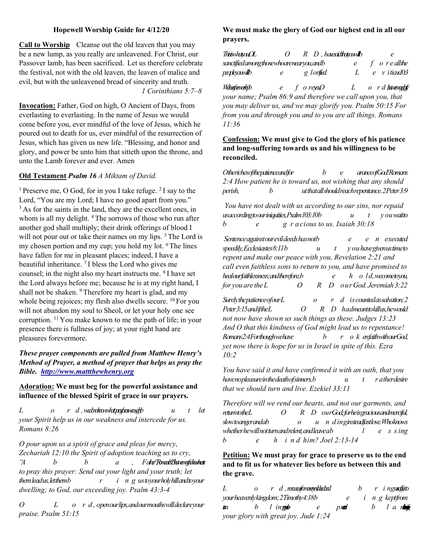### Hopewell Worship Guide for 4/12/20

Call to Worship Cleanse out the old leaven that you may be a new lump, as you really are unleavened. For Christ, our Passover lamb, has been sacrificed. Let us therefore celebrate the festival, not with the old leaven, the leaven of malice and evil, but with the unleavened bread of sincerity and truth. 1 Corinthians 5:7–8

Invocation: Father, God on high, O Ancient of Days, from everlasting to everlasting. In the name of Jesus we would come before you, ever mindful of the love of Jesus, which he poured out to death for us, ever mindful of the resurrection of Jesus, which has given us new life. "Blessing, and honor and glory, and power be unto him that sitteth upon the throne, and unto the Lamb forever and ever. Amen

### Old Testament Psalm 16 A Miktam of David.

<sup>1</sup> Preserve me, O God, for in you I take refuge. <sup>2</sup> I say to the Lord, "You are my Lord; I have no good apart from you." <sup>3</sup> As for the saints in the land, they are the excellent ones, in whom is all my delight. <sup>4</sup> The sorrows of those who run after another god shall multiply; their drink offerings of blood I will not pour out or take their names on my lips.<sup>5</sup> The Lord is my chosen portion and my cup; you hold my lot. <sup>6</sup>The lines have fallen for me in pleasant places; indeed, I have a beautiful inheritance. <sup>7</sup>I bless the Lord who gives me counsel; in the night also my heart instructs me. <sup>8</sup>I have set the Lord always before me; because he is at my right hand, I shall not be shaken. <sup>9</sup>Therefore my heart is glad, and my whole being rejoices; my flesh also dwells secure.  $^{10}$  For you will not abandon my soul to Sheol, or let your holy one see corruption. <sup>11</sup>You make known to me the path of life; in your presence there is fullness of joy; at your right hand are pleasures forevermore.

# These prayer components are pulled from Matthew Henry's Method of Prayer, a method of prayer that helps us pray the Bible. http://www.mattthewhenry.org

Adoration: We must beg for the powerful assistance and influence of the blessed Spirit of grace in our prayers.

 $L$  o r d , we the town to particular text of the  $L$  u t let your Spirit help us in our weakness and intercede for us. Romans 8:26

O pour upon us a spirit of grace and pleas for mercy, Zechariah 12:10 the Spirit of adoption teaching us to cry, "A b b a , Father Romans 8:15 that we may be a set of the manufallo in the material of the material of the material of the material of the material of the material of the material of the material of the material of the mat to pray this prayer: Send out your light and your truth; let them lead us, let them  $\mathbf{b}$  in gustoyour holy hill and to your dwelling; to God, our exceeding joy. Psalm 43:3-4

O L o r d , open our lips, and our mouths will declare your praise. Psalm 51:15

## We must make the glory of God our highest end in all our prayers.

| ThisiwhataaOL                          | $\theta$ | R D , haexidhaawib |  |              |  |
|----------------------------------------|----------|--------------------|--|--------------|--|
| sanctifiedamongthosewhoarenearyou,andb |          |                    |  | e foreallthe |  |
| peopleyouwillb                         | e        | g lorified         |  | e vitias103  |  |

We therefore  $\theta$  is the real point of the  $\theta$  and  $\theta$  are defined to red that we may be  $\theta$  and  $\theta$  are  $\theta$  and  $\theta$  are  $\theta$  and  $\theta$  are  $\theta$  and  $\theta$  are  $\theta$  and  $\theta$  are  $\theta$  and  $\theta$  are  $\theta$  and  $\theta$  are  $\theta$ your name; Psalm 86:9 and therefore we call upon you, that you may deliver us, and we may glorify you. Psalm 50:15 For from you and through you and to you are all things. Romans 11:36

Confession: We must give to God the glory of his patience and long-suffering towards us and his willingness to be reconciled.

 $Other chess of the pattern each of for$   $b$  e arance of God! Romans 2:4 How patient he is toward us, not wishing that any should perish, b ut that all should reach repentance. 2 Peter 3:9

 You have not dealt with us according to our sins, nor repaid us according to our iniquities,  $P$ salm  $103:10b$   $u$   $t$   $v$  ou wait to b e g r a cious to us. Isaiah 30:18

Sentence against our evil deeds has not b  $e$  e n executed  $s$ peedily, Ecclesiastes  $8:11b$   $u$   $t$   $y$  ou have given us time to repent and make our peace with you, Revelation 2:21 and call even faithless sons to return to you, and have promised to  $heal our fail the sense; and therefore, b$   $e$   $h$   $o$   $ld$ , we come to you, for you are the  $L$   $O$   $R$   $D$   $our$   $God$ . Jeremiah 3:22

 $S$ urely the patience of our L  $O$  r d is counted as salvation; 2  $Peter 3:15 and if the L  $O$   $R$   $D$   $hadmeant to killus, he would$$ not now have shown us such things as these. Judges 13:23 And O that this kindness of God might lead us to repentance!  $Romans2:4 For though we have$   $b$   $r$   $o$   $k$  enfaith with our God, yet now there is hope for us in Israel in spite of this. Ezra  $10:2$ 

You have said it and have confirmed it with an oath, that you have no pleasure in the death of sinners,  $b$   $u$   $t$   $r$  ather desire that we should turn and live. Ezekiel 33:11

Therefore will we rend our hearts, and not our garments, and  $retnm to the L$   $O$   $R$   $D$   $our God; for he is gracing to us and mercifi,$  $s$ low to anger and ab  $o$  u n d inginsteadfast love. Who knows whether he will not turn and relent, and leave ab  $l$  e s sing b e h i n d him? Joel 2:13-14

Petition: We must pray for grace to preserve us to the end and to fit us for whatever lies before us between this and the grave.

 $L$  o r d resumpermement that  $a$  in puss fits your heavenly kingdom;  $2$  Timothy  $4:18b$  e in g kept from  $\epsilon$  b ling, and coming the prediction of  $\epsilon$ your glory with great joy. Jude 1:24